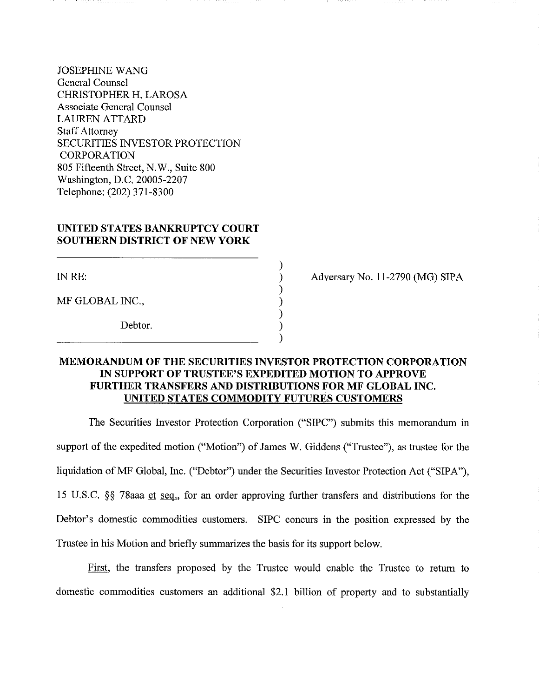JOSEPHINE WANG General Counsel CHRISTOPHER H. LAROSA Associate General Counsel LAUREN ATTARD **Staff Attorney** SECURITIES INVESTOR PROTECTION CORPORATION 805 Fifteenth Street, N.W., Suite 800 Washington, D.C. 20005-2207 Telephone: (202) 371-8300

## **UNITED STATES BANKRUPTCY COURT SOUTHERN DISTRICT OF NEW YORK**

INRE:

MF GLOBAL INC.,

Debtor.

Adversary No. 11-2790 (MG) SIPA

## **MEMORANDUM OF THE SECURITIES INVESTOR PROTECTION CORPORATION IN SUPPORT OF TRUSTEE'S EXPEDITED MOTION TO APPROVE FURTHER TRANSFERS AND DISTRIBUTIONS FOR MF GLOBAL INC. UNITED STATES COMMODITY FUTURES CUSTOMERS**

) ) ) ) ) ) )

The Securities Investor Protection Corporation ("SIPC") submits this memorandum in support of the expedited motion ("Motion") of James W. Giddens ("Trustee"), as trustee for the liquidation of MF Global, Inc. ("Debtor") under the Securities Investor Protection Act ("SIPA"), 15 U.S.C.  $\S$  78aaa et seq., for an order approving further transfers and distributions for the Debtor's domestic commodities customers. **SIPC** concurs in the position expressed by the Trustee in his Motion and briefly summarizes the basis for its support below.

First, the transfers proposed by the Trustee would enable the Trustee to return to domestic commodities customers an additional \$2.1 billion of property and to substantially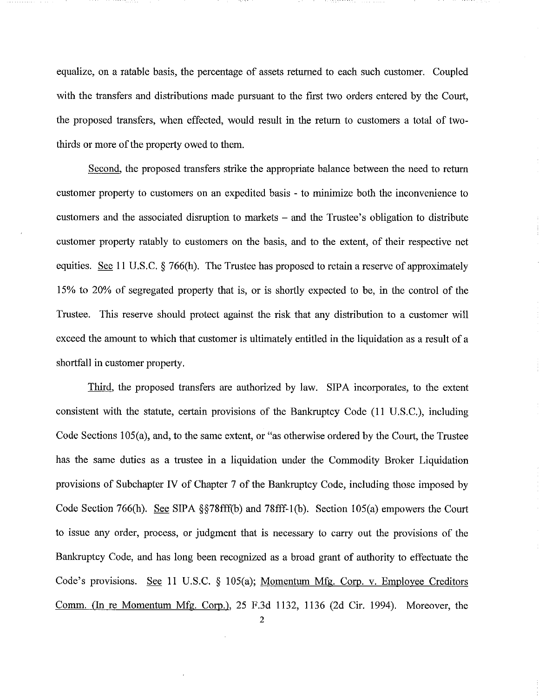equalize, on a ratable basis, the percentage of assets returned to each such customer. Coupled with the transfers and distributions made pursuant to the first two orders entered by the Court, the proposed transfers, when effected, would result in the return to customers a total of twothirds or more of the property owed to them.

Second, the proposed transfers strike the appropriate balance between the need to retum customer property to customers on an expedited basis - to minimize both the inconvenience to customers and the associated disruption to markets – and the Trustee's obligation to distribute customer property ratably to customers on the basis, and to the extent, of their respective net equities. See 11 U.S.C.  $\S$  766(h). The Trustee has proposed to retain a reserve of approximately 15% to 20% of segregated property that is, or is shortly expected to be, in the control of the Trustee. This reserve should protect against the risk that any distribution to a customer will exceed the amount to which that customer is ultimately entitled in the liquidation as a result of a shortfall in customer property.

Third, the proposed transfers are authorized by law. SIPA incorporates, to the extent consistent with the statute, certain provisions of the Bankruptcy Code (II U.S.C.), including Code Sections 105(a), and, to the same extent, or "as otherwise ordered by the Court, the Trustee has the same duties as a trustee in a liquidation under the Commodity Broker Liquidation provisions of Subchapter IV of Chapter 7 of the Bankruptcy Code, including those imposed by Code Section 766(h). See SIPA §§78fff(b) and 78fff-l(b). Section 105(a) empowers the Court to issue any order, process, or judgment that is necessary to carry out the provisions of the Bankruptcy Code, and has long been recognized as a broad grant of authority to effectuate the Code's provisions. See II U.S.C. § I05(a); Momentum Mfg. Corp. v. Employee Creditors Comm. (In re Momentum Mfg. Corp.), 25 F.3d 1132, 1136 (2d Cir. 1994). Moreover, the

2